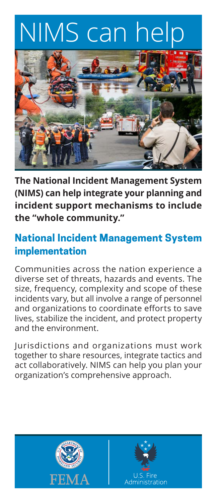# NIMS can help



**The National Incident Management System (NIMS) can help integrate your planning and incident support mechanisms to include the "whole community."**

## **National Incident Management System implementation**

Communities across the nation experience a diverse set of threats, hazards and events. The size, frequency, complexity and scope of these incidents vary, but all involve a range of personnel and organizations to coordinate efforts to save lives, stabilize the incident, and protect property and the environment.

Jurisdictions and organizations must work together to share resources, integrate tactics and act collaboratively. NIMS can help you plan your organization's comprehensive approach.